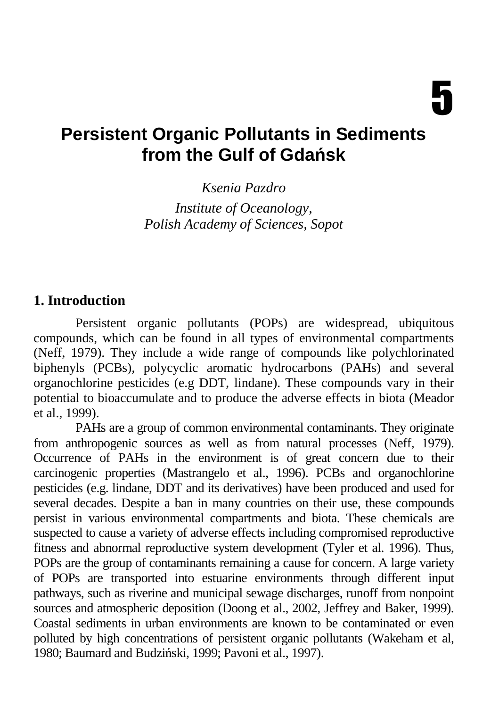# **Persistent Organic Pollutants in Sediments from the Gulf of Gda**ń**sk**

*Ksenia Pazdro Institute of Oceanology, Polish Academy of Sciences, Sopot* 

#### **1. Introduction**

Persistent organic pollutants (POPs) are widespread, ubiquitous compounds, which can be found in all types of environmental compartments (Neff, 1979). They include a wide range of compounds like polychlorinated biphenyls (PCBs), polycyclic aromatic hydrocarbons (PAHs) and several organochlorine pesticides (e.g DDT, lindane). These compounds vary in their potential to bioaccumulate and to produce the adverse effects in biota (Meador et al., 1999).

PAHs are a group of common environmental contaminants. They originate from anthropogenic sources as well as from natural processes (Neff, 1979). Occurrence of PAHs in the environment is of great concern due to their carcinogenic properties (Mastrangelo et al., 1996). PCBs and organochlorine pesticides (e.g. lindane, DDT and its derivatives) have been produced and used for several decades. Despite a ban in many countries on their use, these compounds persist in various environmental compartments and biota. These chemicals are suspected to cause a variety of adverse effects including compromised reproductive fitness and abnormal reproductive system development (Tyler et al. 1996). Thus, POPs are the group of contaminants remaining a cause for concern. A large variety of POPs are transported into estuarine environments through different input pathways, such as riverine and municipal sewage discharges, runoff from nonpoint sources and atmospheric deposition (Doong et al., 2002, Jeffrey and Baker, 1999). Coastal sediments in urban environments are known to be contaminated or even polluted by high concentrations of persistent organic pollutants (Wakeham et al, 1980; Baumard and Budziński, 1999; Pavoni et al., 1997).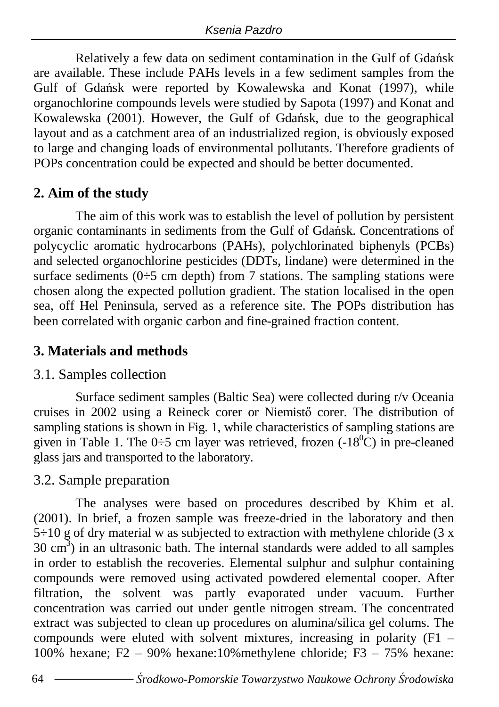Relatively a few data on sediment contamination in the Gulf of Gdańsk are available. These include PAHs levels in a few sediment samples from the Gulf of Gdańsk were reported by Kowalewska and Konat (1997), while organochlorine compounds levels were studied by Sapota (1997) and Konat and Kowalewska (2001). However, the Gulf of Gdańsk, due to the geographical layout and as a catchment area of an industrialized region, is obviously exposed to large and changing loads of environmental pollutants. Therefore gradients of POPs concentration could be expected and should be better documented.

## **2. Aim of the study**

The aim of this work was to establish the level of pollution by persistent organic contaminants in sediments from the Gulf of Gdańsk. Concentrations of polycyclic aromatic hydrocarbons (PAHs), polychlorinated biphenyls (PCBs) and selected organochlorine pesticides (DDTs, lindane) were determined in the surface sediments  $(0\div 5 \text{ cm depth})$  from 7 stations. The sampling stations were chosen along the expected pollution gradient. The station localised in the open sea, off Hel Peninsula, served as a reference site. The POPs distribution has been correlated with organic carbon and fine-grained fraction content.

# **3. Materials and methods**

## 3.1. Samples collection

Surface sediment samples (Baltic Sea) were collected during r/v Oceania cruises in 2002 using a Reineck corer or Niemistő corer. The distribution of sampling stations is shown in Fig. 1, while characteristics of sampling stations are given in Table 1. The 0÷5 cm layer was retrieved, frozen  $(-18^0\text{C})$  in pre-cleaned glass jars and transported to the laboratory.

# 3.2. Sample preparation

The analyses were based on procedures described by Khim et al. (2001). In brief, a frozen sample was freeze-dried in the laboratory and then  $5\div 10$  g of dry material w as subjected to extraction with methylene chloride (3 x  $30 \text{ cm}^3$ ) in an ultrasonic bath. The internal standards were added to all samples in order to establish the recoveries. Elemental sulphur and sulphur containing compounds were removed using activated powdered elemental cooper. After filtration, the solvent was partly evaporated under vacuum. Further concentration was carried out under gentle nitrogen stream. The concentrated extract was subjected to clean up procedures on alumina/silica gel colums. The compounds were eluted with solvent mixtures, increasing in polarity  $(F1 -$ 100% hexane; F2 – 90% hexane:10%methylene chloride; F3 – 75% hexane: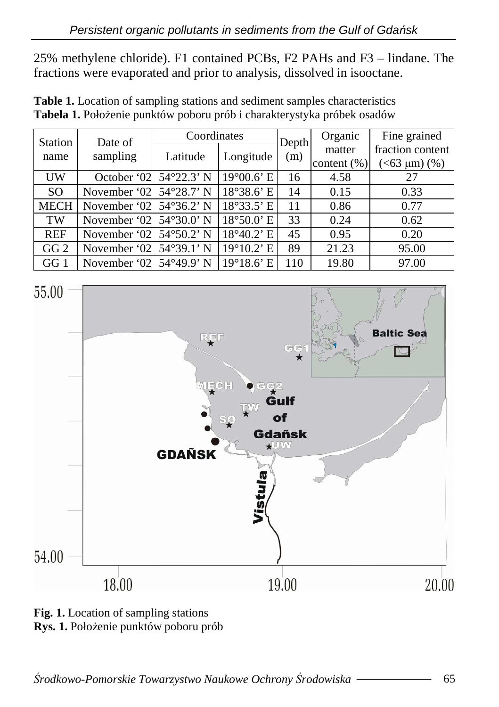25% methylene chloride). F1 contained PCBs, F2 PAHs and F3 – lindane. The fractions were evaporated and prior to analysis, dissolved in isooctane.

| <b>Station</b>  | Date of                           | Coordinates |                                 | Depth | Organic        | Fine grained     |  |
|-----------------|-----------------------------------|-------------|---------------------------------|-------|----------------|------------------|--|
| name            | sampling                          | Latitude    | Longitude                       | (m)   | matter         | fraction content |  |
|                 |                                   |             |                                 |       | content $(\%)$ | $(<63 \mu m)(%)$ |  |
| UW              | October '02 54°22.3' N            |             | $19^{\circ}00.6$ <sup>E</sup>   | 16    | 4.58           | 27               |  |
| <sub>SO</sub>   | November '02 54°28.7' N           |             | $18°38.6$ ' E                   | 14    | 0.15           | 0.33             |  |
| <b>MECH</b>     | November '02 $54^{\circ}36.2$ ' N |             | $18^{\circ}33.5$ ' E            | 11    | 0.86           | 0.77             |  |
| TW              | November '02 54°30.0' N           |             | $18^{\circ}50.0$ ' E            | 33    | 0.24           | 0.62             |  |
| <b>REF</b>      | November '02 54°50.2' N           |             | $18^{\circ}40.2$ ' E            | 45    | 0.95           | 0.20             |  |
| GG <sub>2</sub> | November '02 54°39.1' N           |             | 19°10.2' E                      | 89    | 21.23          | 95.00            |  |
| GG 1            | November '02 54°49.9' N           |             | $19^{\circ}18.6$ <sup>'</sup> E | 110   | 19.80          | 97.00            |  |

**Table 1.** Location of sampling stations and sediment samples characteristics Tabela 1. Położenie punktów poboru prób i charakterystyka próbek osadów



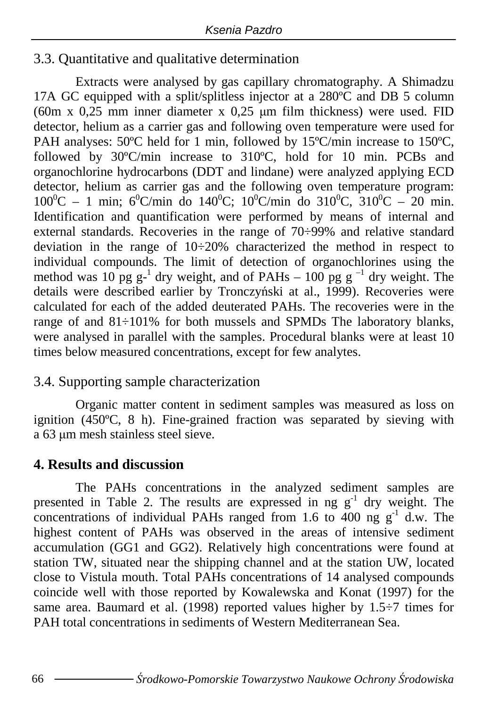#### 3.3. Quantitative and qualitative determination

 Extracts were analysed by gas capillary chromatography. A Shimadzu 17A GC equipped with a split/splitless injector at a 280°C and DB 5 column (60m x  $0.25$  mm inner diameter x  $0.25$  um film thickness) were used. FID detector, helium as a carrier gas and following oven temperature were used for PAH analyses: 50°C held for 1 min, followed by 15°C/min increase to 150°C, followed by 30ºC/min increase to 310ºC, hold for 10 min. PCBs and organochlorine hydrocarbons (DDT and lindane) were analyzed applying ECD detector, helium as carrier gas and the following oven temperature program:  $100^{\circ}\text{C} - 1$  min;  $6^{\circ}\text{C/min}$  do  $140^{\circ}\text{C}$ ;  $10^{\circ}\text{C/min}$  do  $310^{\circ}\text{C}$ ,  $310^{\circ}\text{C} - 20$  min. Identification and quantification were performed by means of internal and external standards. Recoveries in the range of 70÷99% and relative standard deviation in the range of  $10\div 20\%$  characterized the method in respect to individual compounds. The limit of detection of organochlorines using the method was 10 pg  $g^{-1}$  dry weight, and of PAHs – 100 pg  $g^{-1}$  dry weight. The details were described earlier by Tronczyński at al., 1999). Recoveries were calculated for each of the added deuterated PAHs. The recoveries were in the range of and 81÷101% for both mussels and SPMDs The laboratory blanks, were analysed in parallel with the samples. Procedural blanks were at least 10 times below measured concentrations, except for few analytes.

## 3.4. Supporting sample characterization

 Organic matter content in sediment samples was measured as loss on ignition (450ºC, 8 h). Fine-grained fraction was separated by sieving with a 63 µm mesh stainless steel sieve.

## **4. Results and discussion**

 The PAHs concentrations in the analyzed sediment samples are presented in Table 2. The results are expressed in ng  $g^{-1}$  dry weight. The concentrations of individual PAHs ranged from 1.6 to 400 ng  $g^{-1}$  d.w. The highest content of PAHs was observed in the areas of intensive sediment accumulation (GG1 and GG2). Relatively high concentrations were found at station TW, situated near the shipping channel and at the station UW, located close to Vistula mouth. Total PAHs concentrations of 14 analysed compounds coincide well with those reported by Kowalewska and Konat (1997) for the same area. Baumard et al. (1998) reported values higher by  $1.5\div 7$  times for PAH total concentrations in sediments of Western Mediterranean Sea.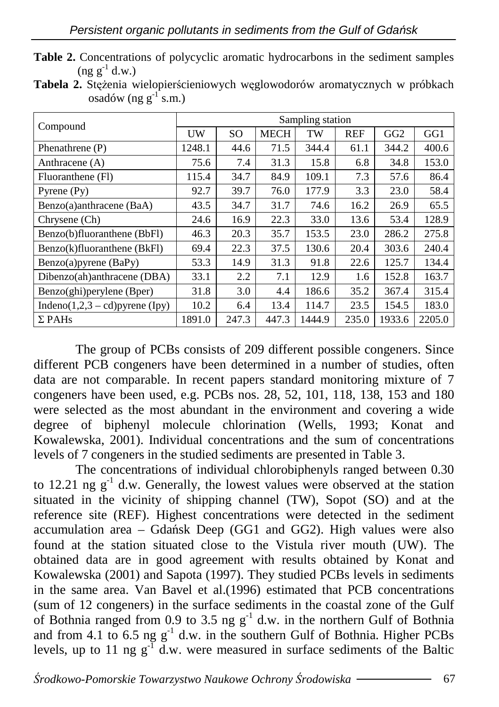| Table 2. Concentrations of polycyclic aromatic hydrocarbons in the sediment samples |  |  |  |
|-------------------------------------------------------------------------------------|--|--|--|
| $($ ng g <sup>-1</sup> d.w.)                                                        |  |  |  |

Tabela 2. Stężenia wielopierścieniowych węglowodorów aromatycznych w próbkach osadów (ng  $g^{-1}$ s.m.)

|                                    | Sampling station |       |             |        |            |                 |        |  |  |
|------------------------------------|------------------|-------|-------------|--------|------------|-----------------|--------|--|--|
| Compound                           | UW               | SO.   | <b>MECH</b> | TW     | <b>REF</b> | GG <sub>2</sub> | GG1    |  |  |
| Phenathrene (P)                    | 1248.1           | 44.6  | 71.5        | 344.4  | 61.1       | 344.2           | 400.6  |  |  |
| Anthracene $(A)$                   | 75.6             | 7.4   | 31.3        | 15.8   | 6.8        | 34.8            | 153.0  |  |  |
| Fluoranthene (Fl)                  | 115.4            | 34.7  | 84.9        | 109.1  | 7.3        | 57.6            | 86.4   |  |  |
| Pyrene $(Pv)$                      | 92.7             | 39.7  | 76.0        | 177.9  | 3.3        | 23.0            | 58.4   |  |  |
| Benzo(a)anthracene (BaA)           | 43.5             | 34.7  | 31.7        | 74.6   | 16.2       | 26.9            | 65.5   |  |  |
| Chrysene (Ch)                      | 24.6             | 16.9  | 22.3        | 33.0   | 13.6       | 53.4            | 128.9  |  |  |
| Benzo(b)fluoranthene (BbFl)        | 46.3             | 20.3  | 35.7        | 153.5  | 23.0       | 286.2           | 275.8  |  |  |
| Benzo(k)fluoranthene (BkFl)        | 69.4             | 22.3  | 37.5        | 130.6  | 20.4       | 303.6           | 240.4  |  |  |
| Benzo(a)pyrene (BaPy)              | 53.3             | 14.9  | 31.3        | 91.8   | 22.6       | 125.7           | 134.4  |  |  |
| Dibenzo(ah)anthracene (DBA)        | 33.1             | 2.2   | 7.1         | 12.9   | 1.6        | 152.8           | 163.7  |  |  |
| Benzo(ghi) per ylene (Bper)        | 31.8             | 3.0   | 4.4         | 186.6  | 35.2       | 367.4           | 315.4  |  |  |
| Indeno $(1,2,3 - cd)$ pyrene (Ipy) | 10.2             | 6.4   | 13.4        | 114.7  | 23.5       | 154.5           | 183.0  |  |  |
| $\Sigma$ PAHs                      | 1891.0           | 247.3 | 447.3       | 1444.9 | 235.0      | 1933.6          | 2205.0 |  |  |

The group of PCBs consists of 209 different possible congeners. Since different PCB congeners have been determined in a number of studies, often data are not comparable. In recent papers standard monitoring mixture of 7 congeners have been used, e.g. PCBs nos. 28, 52, 101, 118, 138, 153 and 180 were selected as the most abundant in the environment and covering a wide degree of biphenyl molecule chlorination (Wells, 1993; Konat and Kowalewska, 2001). Individual concentrations and the sum of concentrations levels of 7 congeners in the studied sediments are presented in Table 3.

The concentrations of individual chlorobiphenyls ranged between 0.30 to 12.21 ng  $g^{-1}$  d.w. Generally, the lowest values were observed at the station situated in the vicinity of shipping channel (TW), Sopot (SO) and at the reference site (REF). Highest concentrations were detected in the sediment accumulation area – Gdańsk Deep (GG1 and GG2). High values were also found at the station situated close to the Vistula river mouth (UW). The obtained data are in good agreement with results obtained by Konat and Kowalewska (2001) and Sapota (1997). They studied PCBs levels in sediments in the same area. Van Bavel et al.(1996) estimated that PCB concentrations (sum of 12 congeners) in the surface sediments in the coastal zone of the Gulf of Bothnia ranged from 0.9 to 3.5 ng  $g^{-1}$  d.w. in the northern Gulf of Bothnia and from 4.1 to 6.5 ng  $g^{-1}$  d.w. in the southern Gulf of Bothnia. Higher PCBs levels, up to 11 ng  $g^{-1}$  d.w. were measured in surface sediments of the Baltic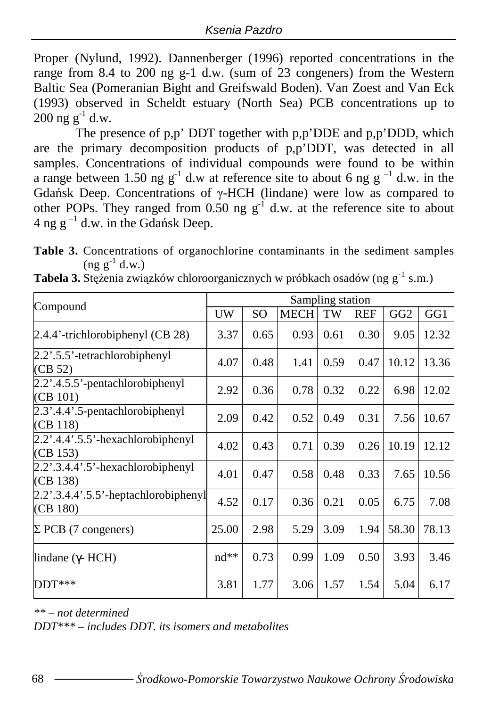Proper (Nylund, 1992). Dannenberger (1996) reported concentrations in the range from 8.4 to 200 ng g-1 d.w. (sum of 23 congeners) from the Western Baltic Sea (Pomeranian Bight and Greifswald Boden). Van Zoest and Van Eck (1993) observed in Scheldt estuary (North Sea) PCB concentrations up to  $200$  ng g<sup>-1</sup> d.w.

The presence of p,p' DDT together with p,p'DDE and p,p'DDD, which are the primary decomposition products of p,p'DDT, was detected in all samples. Concentrations of individual compounds were found to be within a range between 1.50 ng  $g^{-1}$  d.w at reference site to about 6 ng  $g^{-1}$  d.w. in the Gdańsk Deep. Concentrations of γ-HCH (lindane) were low as compared to other POPs. They ranged from 0.50 ng  $g^{-1}$  d.w. at the reference site to about 4 ng  $g^{-1}$  d.w. in the Gdańsk Deep.

**Table 3.** Concentrations of organochlorine contaminants in the sediment samples  $(ng g^{-1} d.w.)$ 

| Compound                                         | Sampling station |                 |             |      |            |                 |       |  |
|--------------------------------------------------|------------------|-----------------|-------------|------|------------|-----------------|-------|--|
|                                                  | UW               | SO <sub>1</sub> | <b>MECH</b> | TW   | <b>REF</b> | GG <sub>2</sub> | GG1   |  |
| 2.4.4'-trichlorobiphenyl (CB 28)                 | 3.37             | 0.65            | 0.93        | 0.61 | 0.30       | 9.05            | 12.32 |  |
| 2.2'.5.5'-tetrachlorobiphenyl<br>(CB 52)         | 4.07             | 0.48            | 1.41        | 0.59 | 0.47       | 10.12           | 13.36 |  |
| 2.2'.4.5.5'-pentachlorobiphenyl<br>(CB 101)      | 2.92             | 0.36            | 0.78        | 0.32 | 0.22       | 6.98            | 12.02 |  |
| 2.3'.4.4'.5-pentachlorobiphenyl<br>(CB 118)      | 2.09             | 0.42            | 0.52        | 0.49 | 0.31       | 7.56            | 10.67 |  |
| $2.2$ '.4.4'.5.5'-hexachlorobiphenyl<br>(CB 153) | 4.02             | 0.43            | 0.71        | 0.39 | 0.26       | 10.19           | 12.12 |  |
| $2.2$ '.3.4.4'.5'-hexachlorobiphenyl<br>(CB 138) | 4.01             | 0.47            | 0.58        | 0.48 | 0.33       | 7.65            | 10.56 |  |
| 2.2'.3.4.4'.5.5'-heptachlorobiphenyl<br>(CB 180) | 4.52             | 0.17            | 0.36        | 0.21 | 0.05       | 6.75            | 7.08  |  |
| $\Sigma$ PCB (7 congeners)                       | 25.00            | 2.98            | 5.29        | 3.09 | 1.94       | 58.30           | 78.13 |  |
| lindane ( $\gamma$ - HCH)                        | $nd**$           | 0.73            | 0.99        | 1.09 | 0.50       | 3.93            | 3.46  |  |
| $DDT***$                                         | 3.81             | 1.77            | 3.06        | 1.57 | 1.54       | 5.04            | 6.17  |  |

**Tabela 3.** Stężenia związków chloroorganicznych w próbkach osadów (ng g<sup>-1</sup> s.m.)

*\*\* – not determined* 

*DDT\*\*\* – includes DDT. its isomers and metabolites*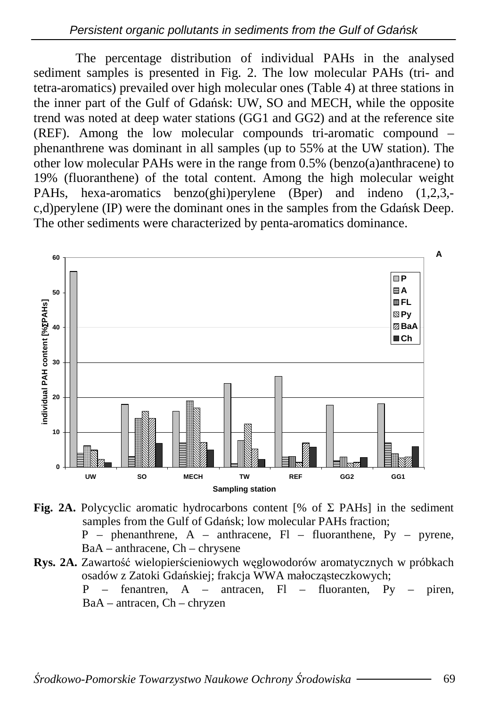The percentage distribution of individual PAHs in the analysed sediment samples is presented in Fig. 2. The low molecular PAHs (tri- and tetra-aromatics) prevailed over high molecular ones (Table 4) at three stations in the inner part of the Gulf of Gdańsk: UW, SO and MECH, while the opposite trend was noted at deep water stations (GG1 and GG2) and at the reference site (REF). Among the low molecular compounds tri-aromatic compound – phenanthrene was dominant in all samples (up to 55% at the UW station). The other low molecular PAHs were in the range from 0.5% (benzo(a)anthracene) to 19% (fluoranthene) of the total content. Among the high molecular weight PAHs, hexa-aromatics benzo(ghi)perylene (Bper) and indeno (1,2,3, c,d)perylene (IP) were the dominant ones in the samples from the Gdańsk Deep. The other sediments were characterized by penta-aromatics dominance.



**Fig. 2A.** Polycyclic aromatic hydrocarbons content [% of  $\Sigma$  PAHs] in the sediment samples from the Gulf of Gdańsk; low molecular PAHs fraction;  $P$  – phenanthrene,  $A$  – anthracene,  $Fl$  – fluoranthene,  $Py$  – pyrene, BaA – anthracene, Ch – chrysene

**Rys. 2A.** Zawartość wielopierścieniowych węglowodorów aromatycznych w próbkach osadów z Zatoki Gdańskiej; frakcja WWA małocząsteczkowych;

> $P =$  fenantren,  $A =$  antracen,  $F1 =$  fluoranten,  $Py =$  piren, BaA – antracen, Ch – chryzen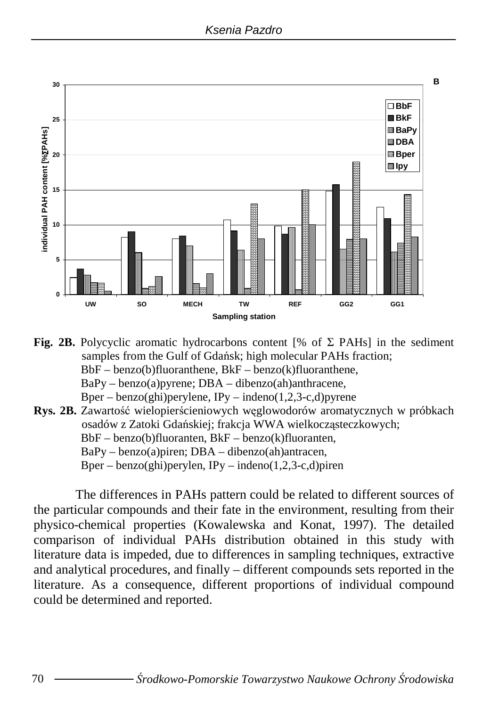

- **Fig. 2B.** Polycyclic aromatic hydrocarbons content [% of  $\Sigma$  PAHs] in the sediment samples from the Gulf of Gdańsk; high molecular PAHs fraction;  $BbF - \text{benzo}(b)$ fluoranthene,  $BkF - \text{benzo}(k)$ fluoranthene,  $BaPy - benzo(a)pyrene$ ;  $DBA - dibenzo(ah)anthracene$ ,
	- Bper benzo(ghi)perylene,  $IPy$  indeno(1,2,3-c,d)pyrene
- **Rys. 2B.** Zawartość wielopierścieniowych węglowodorów aromatycznych w próbkach osadów z Zatoki Gdańskiej; frakcja WWA wielkocząsteczkowych; BbF – benzo(b)fluoranten, BkF – benzo(k)fluoranten,  $BaPy - benzo(a)$ piren;  $DBA - dibenzo(ah)$ antracen, Bper – benzo(ghi)perylen, IPy – indeno $(1,2,3-c,d)$ piren

The differences in PAHs pattern could be related to different sources of the particular compounds and their fate in the environment, resulting from their physico-chemical properties (Kowalewska and Konat, 1997). The detailed comparison of individual PAHs distribution obtained in this study with literature data is impeded, due to differences in sampling techniques, extractive and analytical procedures, and finally – different compounds sets reported in the literature. As a consequence, different proportions of individual compound could be determined and reported.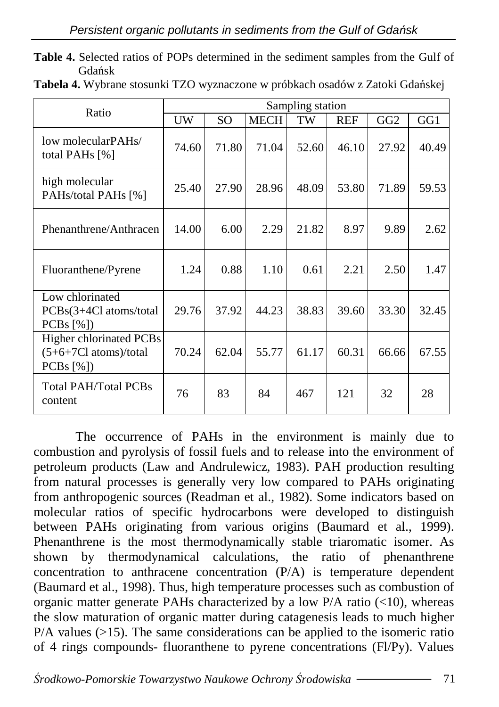|                |  | Table 4. Selected ratios of POPs determined in the sediment samples from the Gulf of |  |  |  |  |
|----------------|--|--------------------------------------------------------------------------------------|--|--|--|--|
| <b>G</b> dańsk |  |                                                                                      |  |  |  |  |

| Ratio                                                           | Sampling station |       |             |       |            |                 |       |  |  |
|-----------------------------------------------------------------|------------------|-------|-------------|-------|------------|-----------------|-------|--|--|
|                                                                 | UW               | SO.   | <b>MECH</b> | TW    | <b>REF</b> | GG <sub>2</sub> | GG1   |  |  |
| low molecularPAHs/<br>total PAHs $[\%]$                         | 74.60            | 71.80 | 71.04       | 52.60 | 46.10      | 27.92           | 40.49 |  |  |
| high molecular<br>PAHs/total PAHs [%]                           | 25.40            | 27.90 | 28.96       | 48.09 | 53.80      | 71.89           | 59.53 |  |  |
| Phenanthrene/Anthracen                                          | 14.00            | 6.00  | 2.29        | 21.82 | 8.97       | 9.89            | 2.62  |  |  |
| Fluoranthene/Pyrene                                             | 1.24             | 0.88  | 1.10        | 0.61  | 2.21       | 2.50            | 1.47  |  |  |
| Low chlorinated<br>PCBs(3+4Cl atoms/total<br>PCBs [%])          | 29.76            | 37.92 | 44.23       | 38.83 | 39.60      | 33.30           | 32.45 |  |  |
| Higher chlorinated PCBs<br>$(5+6+7Cl atoms)/total$<br>PCBs [%]) | 70.24            | 62.04 | 55.77       | 61.17 | 60.31      | 66.66           | 67.55 |  |  |
| Total PAH/Total PCBs<br>content                                 | 76               | 83    | 84          | 467   | 121        | 32              | 28    |  |  |

**Tabela 4.** Wybrane stosunki TZO wyznaczone w próbkach osadów z Zatoki Gdańskej

The occurrence of PAHs in the environment is mainly due to combustion and pyrolysis of fossil fuels and to release into the environment of petroleum products (Law and Andrulewicz, 1983). PAH production resulting from natural processes is generally very low compared to PAHs originating from anthropogenic sources (Readman et al., 1982). Some indicators based on molecular ratios of specific hydrocarbons were developed to distinguish between PAHs originating from various origins (Baumard et al., 1999). Phenanthrene is the most thermodynamically stable triaromatic isomer. As shown by thermodynamical calculations, the ratio of phenanthrene concentration to anthracene concentration (P/A) is temperature dependent (Baumard et al., 1998). Thus, high temperature processes such as combustion of organic matter generate PAHs characterized by a low P/A ratio  $(<10$ ), whereas the slow maturation of organic matter during catagenesis leads to much higher  $P/A$  values ( $>15$ ). The same considerations can be applied to the isomeric ratio of 4 rings compounds- fluoranthene to pyrene concentrations (Fl/Py). Values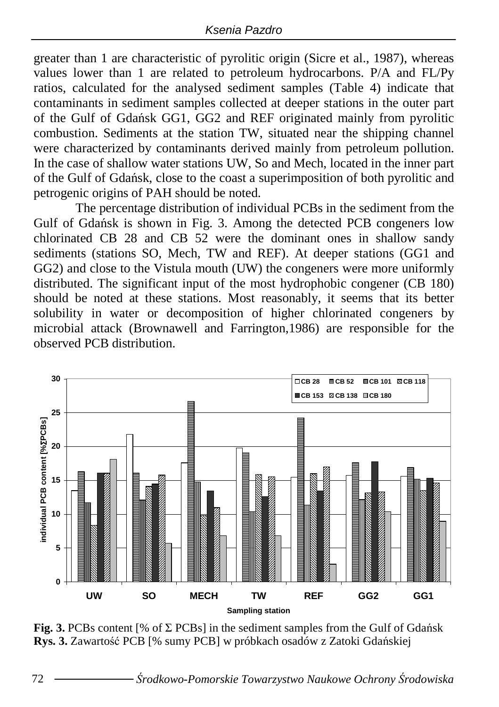greater than 1 are characteristic of pyrolitic origin (Sicre et al., 1987), whereas values lower than 1 are related to petroleum hydrocarbons. P/A and FL/Py ratios, calculated for the analysed sediment samples (Table 4) indicate that contaminants in sediment samples collected at deeper stations in the outer part of the Gulf of Gdańsk GG1, GG2 and REF originated mainly from pyrolitic combustion. Sediments at the station TW, situated near the shipping channel were characterized by contaminants derived mainly from petroleum pollution. In the case of shallow water stations UW, So and Mech, located in the inner part of the Gulf of Gdańsk, close to the coast a superimposition of both pyrolitic and petrogenic origins of PAH should be noted.

The percentage distribution of individual PCBs in the sediment from the Gulf of Gdańsk is shown in Fig. 3. Among the detected PCB congeners low chlorinated CB 28 and CB 52 were the dominant ones in shallow sandy sediments (stations SO, Mech, TW and REF). At deeper stations (GG1 and GG2) and close to the Vistula mouth (UW) the congeners were more uniformly distributed. The significant input of the most hydrophobic congener (CB 180) should be noted at these stations. Most reasonably, it seems that its better solubility in water or decomposition of higher chlorinated congeners by microbial attack (Brownawell and Farrington,1986) are responsible for the observed PCB distribution.



**Fig. 3.** PCBs content [% of  $\Sigma$  PCBs] in the sediment samples from the Gulf of Gdańsk **Rys. 3.** Zawartość PCB [% sumy PCB] w próbkach osadów z Zatoki Gdańskiej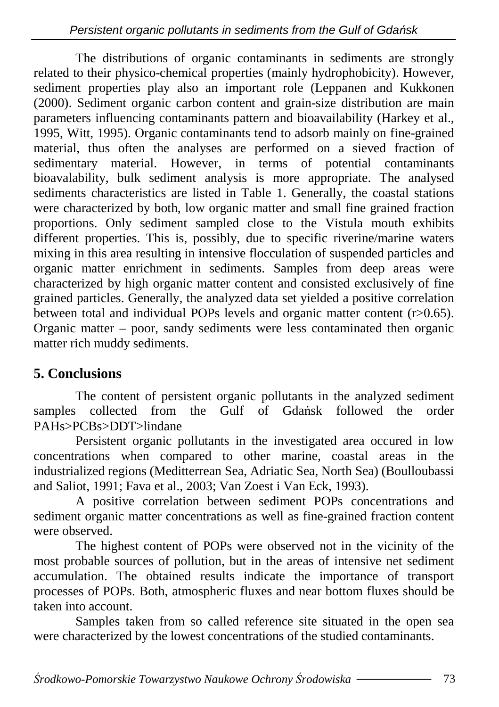The distributions of organic contaminants in sediments are strongly related to their physico-chemical properties (mainly hydrophobicity). However, sediment properties play also an important role (Leppanen and Kukkonen (2000). Sediment organic carbon content and grain-size distribution are main parameters influencing contaminants pattern and bioavailability (Harkey et al., 1995, Witt, 1995). Organic contaminants tend to adsorb mainly on fine-grained material, thus often the analyses are performed on a sieved fraction of sedimentary material. However, in terms of potential contaminants bioavalability, bulk sediment analysis is more appropriate. The analysed sediments characteristics are listed in Table 1. Generally, the coastal stations were characterized by both, low organic matter and small fine grained fraction proportions. Only sediment sampled close to the Vistula mouth exhibits different properties. This is, possibly, due to specific riverine/marine waters mixing in this area resulting in intensive flocculation of suspended particles and organic matter enrichment in sediments. Samples from deep areas were characterized by high organic matter content and consisted exclusively of fine grained particles. Generally, the analyzed data set yielded a positive correlation between total and individual POPs levels and organic matter content (r>0.65). Organic matter – poor, sandy sediments were less contaminated then organic matter rich muddy sediments.

#### **5. Conclusions**

The content of persistent organic pollutants in the analyzed sediment samples collected from the Gulf of Gdańsk followed the order PAHs>PCBs>DDT>lindane

Persistent organic pollutants in the investigated area occured in low concentrations when compared to other marine, coastal areas in the industrialized regions (Meditterrean Sea, Adriatic Sea, North Sea) (Boulloubassi and Saliot, 1991; Fava et al., 2003; Van Zoest i Van Eck, 1993).

A positive correlation between sediment POPs concentrations and sediment organic matter concentrations as well as fine-grained fraction content were observed.

The highest content of POPs were observed not in the vicinity of the most probable sources of pollution, but in the areas of intensive net sediment accumulation. The obtained results indicate the importance of transport processes of POPs. Both, atmospheric fluxes and near bottom fluxes should be taken into account.

Samples taken from so called reference site situated in the open sea were characterized by the lowest concentrations of the studied contaminants.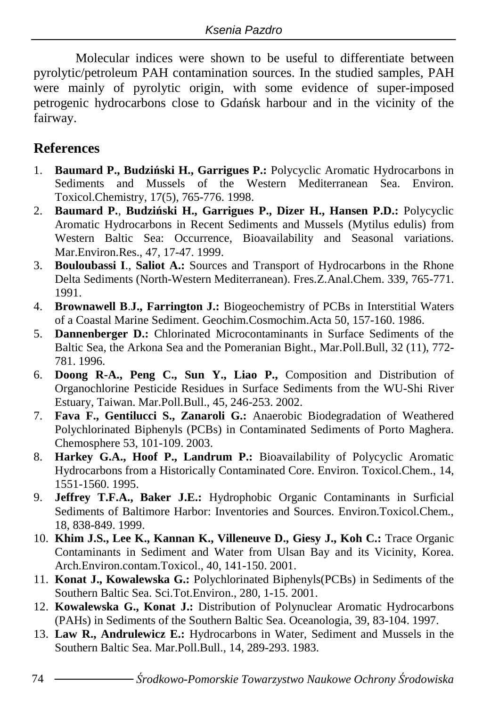Molecular indices were shown to be useful to differentiate between pyrolytic/petroleum PAH contamination sources. In the studied samples, PAH were mainly of pyrolytic origin, with some evidence of super-imposed petrogenic hydrocarbons close to Gdańsk harbour and in the vicinity of the fairway.

#### **References**

- 1. **Baumard P., Budzi**ń**ski H., Garrigues P.:** Polycyclic Aromatic Hydrocarbons in Sediments and Mussels of the Western Mediterranean Sea. Environ. Toxicol.Chemistry, 17(5), 765-776. 1998.
- 2. **Baumard P.**, **Budzi**ń**ski H., Garrigues P., Dizer H., Hansen P.D.:** Polycyclic Aromatic Hydrocarbons in Recent Sediments and Mussels (Mytilus edulis) from Western Baltic Sea: Occurrence, Bioavailability and Seasonal variations. Mar.Environ.Res., 47, 17-47. 1999.
- 3. **Bouloubassi I**., **Saliot A.:** Sources and Transport of Hydrocarbons in the Rhone Delta Sediments (North-Western Mediterranean). Fres.Z.Anal.Chem. 339, 765-771. 1991.
- 4. **Brownawell B**.**J., Farrington J.:** Biogeochemistry of PCBs in Interstitial Waters of a Coastal Marine Sediment. Geochim.Cosmochim.Acta 50, 157-160. 1986.
- 5. **Dannenberger D.:** Chlorinated Microcontaminants in Surface Sediments of the Baltic Sea, the Arkona Sea and the Pomeranian Bight., Mar.Poll.Bull, 32 (11), 772- 781. 1996.
- 6. **Doong R-A., Peng C., Sun Y., Liao P.,** Composition and Distribution of Organochlorine Pesticide Residues in Surface Sediments from the WU-Shi River Estuary, Taiwan. Mar.Poll.Bull., 45, 246-253. 2002.
- 7. **Fava F., Gentilucci S., Zanaroli G.:** Anaerobic Biodegradation of Weathered Polychlorinated Biphenyls (PCBs) in Contaminated Sediments of Porto Maghera. Chemosphere 53, 101-109. 2003.
- 8. **Harkey G.A., Hoof P., Landrum P.:** Bioavailability of Polycyclic Aromatic Hydrocarbons from a Historically Contaminated Core. Environ. Toxicol.Chem., 14, 1551-1560. 1995.
- 9. **Jeffrey T.F.A., Baker J.E.:** Hydrophobic Organic Contaminants in Surficial Sediments of Baltimore Harbor: Inventories and Sources. Environ.Toxicol.Chem., 18, 838-849. 1999.
- 10. **Khim J.S., Lee K., Kannan K., Villeneuve D., Giesy J., Koh C.:** Trace Organic Contaminants in Sediment and Water from Ulsan Bay and its Vicinity, Korea. Arch.Environ.contam.Toxicol., 40, 141-150. 2001.
- 11. **Konat J., Kowalewska G.:** Polychlorinated Biphenyls(PCBs) in Sediments of the Southern Baltic Sea. Sci.Tot.Environ., 280, 1-15. 2001.
- 12. **Kowalewska G., Konat J.:** Distribution of Polynuclear Aromatic Hydrocarbons (PAHs) in Sediments of the Southern Baltic Sea. Oceanologia, 39, 83-104. 1997.
- 13. **Law R., Andrulewicz E.:** Hydrocarbons in Water, Sediment and Mussels in the Southern Baltic Sea. Mar.Poll.Bull., 14, 289-293. 1983.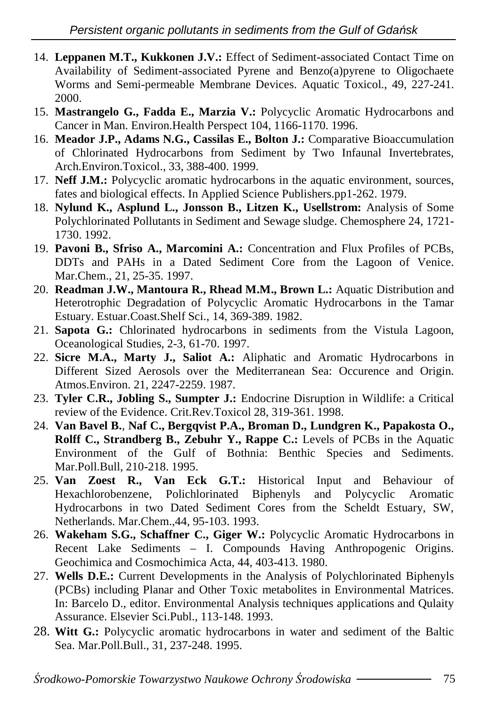- 14. **Leppanen M.T., Kukkonen J.V.:** Effect of Sediment-associated Contact Time on Availability of Sediment-associated Pyrene and Benzo(a)pyrene to Oligochaete Worms and Semi-permeable Membrane Devices. Aquatic Toxicol., 49, 227-241. 2000.
- 15. **Mastrangelo G., Fadda E., Marzia V.:** Polycyclic Aromatic Hydrocarbons and Cancer in Man. Environ.Health Perspect 104, 1166-1170. 1996.
- 16. **Meador J.P., Adams N.G., Cassilas E., Bolton J.:** Comparative Bioaccumulation of Chlorinated Hydrocarbons from Sediment by Two Infaunal Invertebrates, Arch.Environ.Toxicol., 33, 388-400. 1999.
- 17. **Neff J.M.:** Polycyclic aromatic hydrocarbons in the aquatic environment, sources, fates and biological effects. In Applied Science Publishers.pp1-262. 1979.
- 18. **Nylund K., Asplund L., Jonsson B., Litzen K., Usellstrom:** Analysis of Some Polychlorinated Pollutants in Sediment and Sewage sludge. Chemosphere 24, 1721- 1730. 1992.
- 19. **Pavoni B., Sfriso A., Marcomini A.:** Concentration and Flux Profiles of PCBs, DDTs and PAHs in a Dated Sediment Core from the Lagoon of Venice. Mar.Chem., 21, 25-35. 1997.
- 20. **Readman J.W., Mantoura R., Rhead M.M., Brown L.:** Aquatic Distribution and Heterotrophic Degradation of Polycyclic Aromatic Hydrocarbons in the Tamar Estuary. Estuar.Coast.Shelf Sci., 14, 369-389. 1982.
- 21. **Sapota G.:** Chlorinated hydrocarbons in sediments from the Vistula Lagoon, Oceanological Studies, 2-3, 61-70. 1997.
- 22. **Sicre M.A., Marty J., Saliot A.:** Aliphatic and Aromatic Hydrocarbons in Different Sized Aerosols over the Mediterranean Sea: Occurence and Origin. Atmos.Environ. 21, 2247-2259. 1987.
- 23. **Tyler C.R., Jobling S., Sumpter J.:** Endocrine Disruption in Wildlife: a Critical review of the Evidence. Crit.Rev.Toxicol 28, 319-361. 1998.
- 24. **Van Bavel B.**, **Naf C., Bergqvist P.A., Broman D., Lundgren K., Papakosta O., Rolff C., Strandberg B., Zebuhr Y., Rappe C.:** Levels of PCBs in the Aquatic Environment of the Gulf of Bothnia: Benthic Species and Sediments. Mar.Poll.Bull, 210-218. 1995.
- 25. **Van Zoest R., Van Eck G.T.:** Historical Input and Behaviour of Hexachlorobenzene, Polichlorinated Biphenyls and Polycyclic Aromatic Hydrocarbons in two Dated Sediment Cores from the Scheldt Estuary, SW, Netherlands. Mar.Chem.,44, 95-103. 1993.
- 26. **Wakeham S.G., Schaffner C., Giger W.:** Polycyclic Aromatic Hydrocarbons in Recent Lake Sediments – I. Compounds Having Anthropogenic Origins. Geochimica and Cosmochimica Acta, 44, 403-413. 1980.
- 27. **Wells D.E.:** Current Developments in the Analysis of Polychlorinated Biphenyls (PCBs) including Planar and Other Toxic metabolites in Environmental Matrices. In: Barcelo D., editor. Environmental Analysis techniques applications and Qulaity Assurance. Elsevier Sci.Publ., 113-148. 1993.
- 28. **Witt G.:** Polycyclic aromatic hydrocarbons in water and sediment of the Baltic Sea. Mar.Poll.Bull., 31, 237-248. 1995.